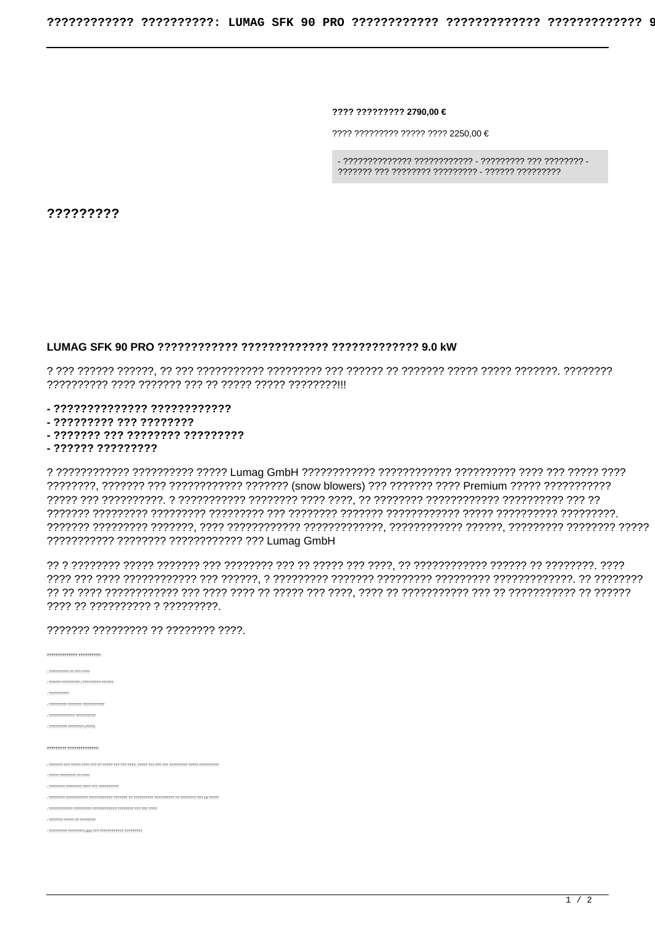???? ????????? 2790.00 €

 $7777777777777777777777772250.00 \in$ 

?????????

## 

- ?????????????? ????????????

- ????????? ??? ????????

- ??????? ??? ???????? ?????????

- ?????? ?????????

77 הידר הדרכון דר הדרכון הדרכון הדרכון דר בדרך דר הדרך דר בדרך הדרכון הדרכון דרך הדרכון דרכון דרכון דרכון ד ???? ?? ?????????? ? ?????????.

## 777777 777777777 77 77777777 7777

| 77777777777777 7777777777                                                                    |
|----------------------------------------------------------------------------------------------|
| - 7777777777 77 777 7777                                                                     |
| - 777777 777777777   777777777 777777                                                        |
| $-222222222$                                                                                 |
| - 777777777 7777777 77777777777                                                              |
|                                                                                              |
| - ????????? ???????? (????)                                                                  |
| 77777777 77777777777777                                                                      |
|                                                                                              |
| - 77777 77777777 77 7777                                                                     |
|                                                                                              |
| יר 15 דרך דרכדרדרדרך דר דרכרדרדרדרך דרכרכרדרך דר דרכרדר ררכברד ברכברד ברכברדרדרדרך דרכברדר - |
|                                                                                              |
| - ??????? ????? ?? ????????                                                                  |
|                                                                                              |
|                                                                                              |